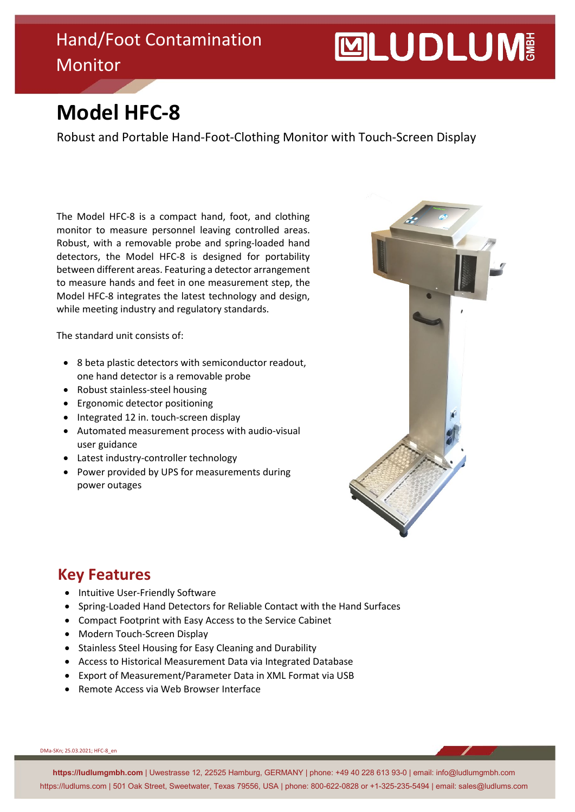### Hand/Foot Contamination Monitor

# **MUDLUM**

## **Model HFC-8**

Robust and Portable Hand-Foot-Clothing Monitor with Touch-Screen Display

The Model HFC-8 is a compact hand, foot, and clothing monitor to measure personnel leaving controlled areas. Robust, with a removable probe and spring-loaded hand detectors, the Model HFC-8 is designed for portability between different areas. Featuring a detector arrangement to measure hands and feet in one measurement step, the Model HFC-8 integrates the latest technology and design, while meeting industry and regulatory standards.

The standard unit consists of:

- 8 beta plastic detectors with semiconductor readout, one hand detector is a removable probe
- Robust stainless-steel housing
- Ergonomic detector positioning
- Integrated 12 in. touch-screen display
- Automated measurement process with audio-visual user guidance
- Latest industry-controller technology
- Power provided by UPS for measurements during power outages



#### **Key Features**

- Intuitive User-Friendly Software
- Spring-Loaded Hand Detectors for Reliable Contact with the Hand Surfaces
- Compact Footprint with Easy Access to the Service Cabinet
- Modern Touch-Screen Display
- Stainless Steel Housing for Easy Cleaning and Durability
- Access to Historical Measurement Data via Integrated Database
- Export of Measurement/Parameter Data in XML Format via USB
- Remote Access via Web Browser Interface

DMa-SKn; 25.03.2021; HFC-8\_en

**https://ludlumgmbh.com** | Uwestrasse 12, 22525 Hamburg, GERMANY | phone: +49 40 228 613 93-0 | email: info@ludlumgmbh.com https://ludlums.com | 501 Oak Street, Sweetwater, Texas 79556, USA | phone: 800-622-0828 or +1-325-235-5494 | email: sales@ludlums.com